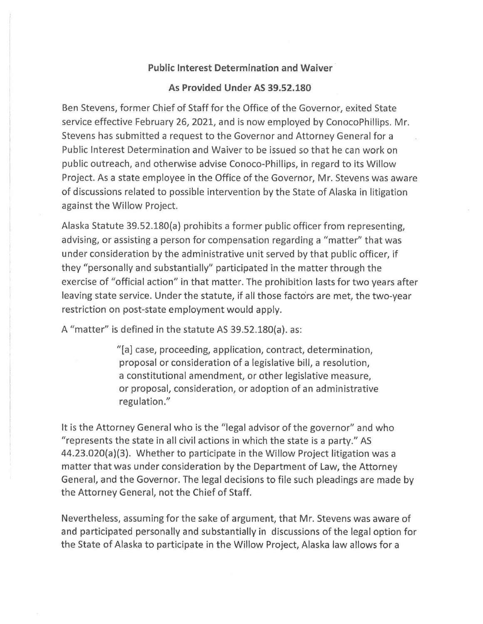## **Public Interest Determination and Waiver**

## **As Provided Under AS 39.52.180**

Ben Stevens, former Chief of Staff for the Office of the Governor, exited State service effective February 26, 2021, and is now employed by ConocoPhillips. Mr. Stevens has submitted a request to the Governor and Attorney General for a Public Interest Determination and Waiver to be issued so that he can work on public outreach, and otherwise advise Conoco-Phillips, in regard to its Willow Project. As a state employee in the Office of the Governor, Mr. Stevens was aware of discussions related to possible intervention by the State of Alaska in litigation against the Willow Project.

Alaska Statute 39.52.180(a) prohibits a former public officer from representing, advising, or assisting a person for compensation regarding a "matter" that was under consideration by the administrative unit served by that public officer, if they "personally and substantially" participated in the matter through the exercise of "official action" in that matter. The prohibition lasts for two years after leaving state service. Under the statute, if all those factors are met, the two-year restriction on post-state employment would apply.

A "matter" is defined in the statute AS 39.52.180(a). as:

"[a] case, proceeding, application, contract, determination, proposal or consideration of a legislative bill, a resolution, a constitutional amendment, or other legislative measure, or proposal, consideration, or adoption of an administrative regulation."

It is the Attorney General who is the "legal advisor of the governor" and who "represents the state in all civil actions in which the state is a party." AS 44.23.020(a)(3). Whether to participate in the Willow Project litigation was a matter that was under consideration by the Department of Law, the Attorney General, and the Governor. The legal decisions to file such pleadings are made by the Attorney General, not the Chief of Staff.

Nevertheless, assuming for the sake of argument, that Mr. Stevens was aware of and participated personally and substantially in discussions of the legal option for the State of Alaska to participate in the Willow Project, Alaska law allows for a